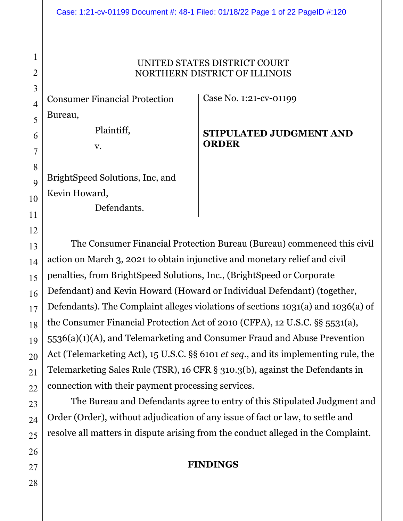#### Case: 1:21-cv-01199 Document #: 48-1 Filed: 01/18/22 Page 1 of 22 PageID #:120

#### UNITED STATES DISTRICT COURT NORTHERN DISTRICT OF ILLINOIS

Consumer Financial Protection Bureau,

Plaintiff,

v.

BrightSpeed Solutions, Inc, and Kevin Howard, Defendants.

Case No. 1:21-cv-01199

#### **STIPULATED JUDGMENT AND ORDER**

The Consumer Financial Protection Bureau (Bureau) commenced this civil action on March 3, 2021 to obtain injunctive and monetary relief and civil penalties, from BrightSpeed Solutions, Inc., (BrightSpeed or Corporate Defendant) and Kevin Howard (Howard or Individual Defendant) (together, Defendants). The Complaint alleges violations of sections 1031(a) and 1036(a) of the Consumer Financial Protection Act of 2010 (CFPA), 12 U.S.C. §§ 5531(a), 5536(a)(1)(A), and Telemarketing and Consumer Fraud and Abuse Prevention Act (Telemarketing Act), 15 U.S.C. §§ 6101 *et seq*., and its implementing rule, the Telemarketing Sales Rule (TSR), 16 CFR § 310.3(b), against the Defendants in connection with their payment processing services.

The Bureau and Defendants agree to entry of this Stipulated Judgment and Order (Order), without adjudication of any issue of fact or law, to settle and resolve all matters in dispute arising from the conduct alleged in the Complaint.

#### **FINDINGS**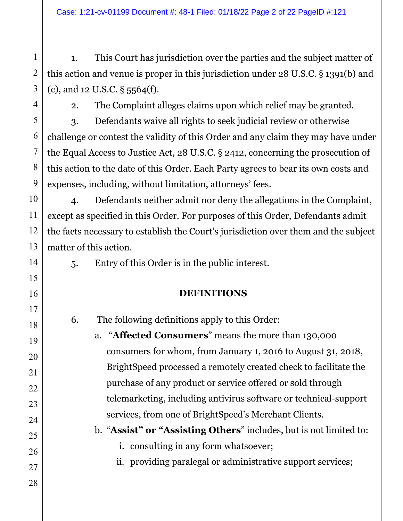Case: 1:21-cv-01199 Document #: 48-1 Filed: 01/18/22 Page 2 of 22 PageID #:121

1. This Court has jurisdiction over the parties and the subject matter of this action and venue is proper in this jurisdiction under 28 U.S.C. § 1391(b) and (c), and 12 U.S.C. § 5564(f).

2. The Complaint alleges claims upon which relief may be granted.

3. Defendants waive all rights to seek judicial review or otherwise challenge or contest the validity of this Order and any claim they may have under the Equal Access to Justice Act, 28 U.S.C. § 2412, concerning the prosecution of this action to the date of this Order. Each Party agrees to bear its own costs and expenses, including, without limitation, attorneys' fees.

4. Defendants neither admit nor deny the allegations in the Complaint, except as specified in this Order. For purposes of this Order, Defendants admit the facts necessary to establish the Court's jurisdiction over them and the subject matter of this action.

5. Entry of this Order is in the public interest.

## **DEFINITIONS**

6. The following definitions apply to this Order: a. "**Affected Consumers**" means the more than 130,000

consumers for whom, from January 1, 2016 to August 31, 2018, BrightSpeed processed a remotely created check to facilitate the purchase of any product or service offered or sold through telemarketing, including antivirus software or technical-support services, from one of BrightSpeed's Merchant Clients.

b. "**Assist" or "Assisting Others**" includes, but is not limited to:

i. consulting in any form whatsoever;

ii. providing paralegal or administrative support services;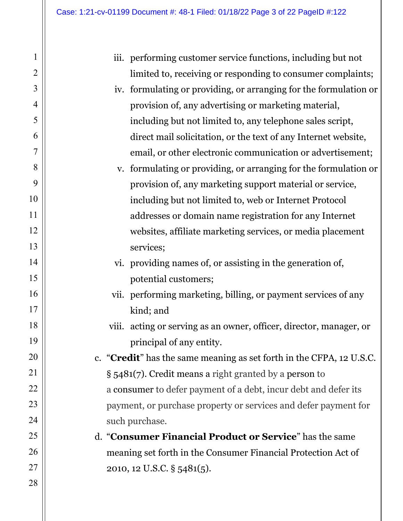|                                                                 | iii. performing customer service functions, including but not                 |  |  |
|-----------------------------------------------------------------|-------------------------------------------------------------------------------|--|--|
|                                                                 | limited to, receiving or responding to consumer complaints;                   |  |  |
|                                                                 | iv. formulating or providing, or arranging for the formulation or             |  |  |
|                                                                 | provision of, any advertising or marketing material,                          |  |  |
|                                                                 | including but not limited to, any telephone sales script,                     |  |  |
|                                                                 | direct mail solicitation, or the text of any Internet website,                |  |  |
|                                                                 | email, or other electronic communication or advertisement;                    |  |  |
|                                                                 | v. formulating or providing, or arranging for the formulation or              |  |  |
|                                                                 | provision of, any marketing support material or service,                      |  |  |
|                                                                 | including but not limited to, web or Internet Protocol                        |  |  |
|                                                                 | addresses or domain name registration for any Internet                        |  |  |
|                                                                 | websites, affiliate marketing services, or media placement                    |  |  |
|                                                                 | services;                                                                     |  |  |
|                                                                 | vi. providing names of, or assisting in the generation of,                    |  |  |
|                                                                 | potential customers;                                                          |  |  |
|                                                                 | vii. performing marketing, billing, or payment services of any                |  |  |
|                                                                 | kind; and                                                                     |  |  |
|                                                                 | viii. acting or serving as an owner, officer, director, manager, or           |  |  |
|                                                                 | principal of any entity.                                                      |  |  |
|                                                                 | c. " <b>Credit</b> " has the same meaning as set forth in the CFPA, 12 U.S.C. |  |  |
|                                                                 | $\S$ 5481(7). Credit means a right granted by a person to                     |  |  |
| a consumer to defer payment of a debt, incur debt and defer its |                                                                               |  |  |
| payment, or purchase property or services and defer payment for |                                                                               |  |  |
| such purchase.                                                  |                                                                               |  |  |
|                                                                 | d. "Consumer Financial Product or Service" has the same                       |  |  |
|                                                                 | meaning set forth in the Consumer Financial Protection Act of                 |  |  |
|                                                                 | 2010, 12 U.S.C. § 5481(5).                                                    |  |  |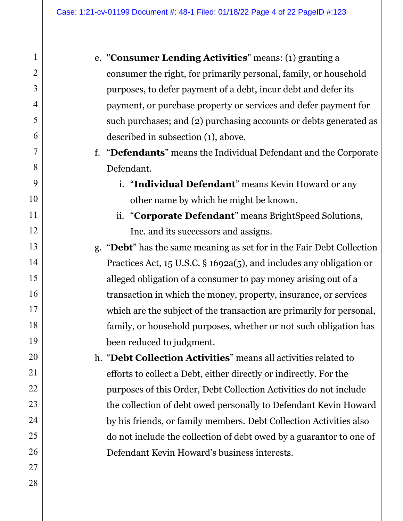- e. "**Consumer Lending Activities**" means: (1) granting a consumer the right, for primarily personal, family, or household purposes, to defer payment of a debt, incur debt and defer its payment, or purchase property or services and defer payment for such purchases; and (2) purchasing accounts or debts generated as described in subsection (1), above.
	- f. "**Defendants**" means the Individual Defendant and the Corporate Defendant.
		- i. "**Individual Defendant**" means Kevin Howard or any other name by which he might be known.
		- ii. "**Corporate Defendant**" means BrightSpeed Solutions, Inc. and its successors and assigns.
	- g. "**Debt**" has the same meaning as set for in the Fair Debt Collection Practices Act, 15 U.S.C. § 1692a(5), and includes any obligation or alleged obligation of a consumer to pay money arising out of a transaction in which the money, property, insurance, or services which are the subject of the transaction are primarily for personal, family, or household purposes, whether or not such obligation has been reduced to judgment.
	- h. "**Debt Collection Activities**" means all activities related to efforts to collect a Debt, either directly or indirectly. For the purposes of this Order, Debt Collection Activities do not include the collection of debt owed personally to Defendant Kevin Howard by his friends, or family members. Debt Collection Activities also do not include the collection of debt owed by a guarantor to one of Defendant Kevin Howard's business interests.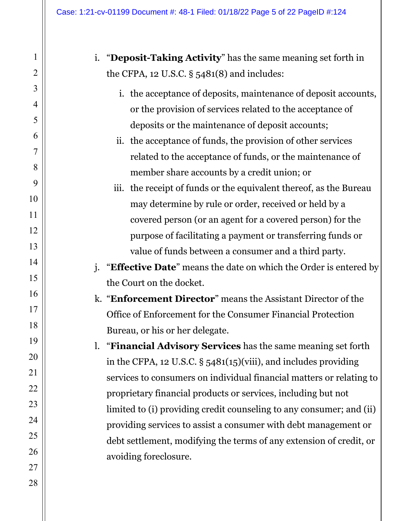i. "**Deposit-Taking Activity**" has the same meaning set forth in the CFPA, 12 U.S.C. § 5481(8) and includes:

i. the acceptance of deposits, maintenance of deposit accounts, or the provision of services related to the acceptance of deposits or the maintenance of deposit accounts;

- ii. the acceptance of funds, the provision of other services related to the acceptance of funds, or the maintenance of member share accounts by a credit union; or
- iii. the receipt of funds or the equivalent thereof, as the Bureau may determine by rule or order, received or held by a covered person (or an agent for a covered person) for the purpose of facilitating a payment or transferring funds or value of funds between a consumer and a third party.
- j. "**Effective Date**" means the date on which the Order is entered by the Court on the docket.
- k. "**Enforcement Director**" means the Assistant Director of the Office of Enforcement for the Consumer Financial Protection Bureau, or his or her delegate.
- l. "**Financial Advisory Services** has the same meaning set forth in the CFPA, 12 U.S.C. § 5481(15)(viii), and includes providing services to consumers on individual financial matters or relating to proprietary financial products or services, including but not limited to (i) providing credit counseling to any consumer; and (ii) providing services to assist a consumer with debt management or debt settlement, modifying the terms of any extension of credit, or avoiding foreclosure.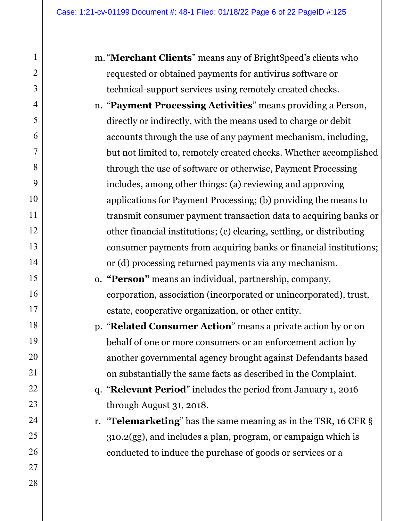- m. "**Merchant Clients**" means any of BrightSpeed's clients who requested or obtained payments for antivirus software or technical-support services using remotely created checks.
- n. "**Payment Processing Activities**" means providing a Person, directly or indirectly, with the means used to charge or debit accounts through the use of any payment mechanism, including, but not limited to, remotely created checks. Whether accomplished through the use of software or otherwise, Payment Processing includes, among other things: (a) reviewing and approving applications for Payment Processing; (b) providing the means to transmit consumer payment transaction data to acquiring banks or other financial institutions; (c) clearing, settling, or distributing consumer payments from acquiring banks or financial institutions; or (d) processing returned payments via any mechanism.

o. **"Person"** means an individual, partnership, company, corporation, association (incorporated or unincorporated), trust, estate, cooperative organization, or other entity.

p. "**Related Consumer Action**" means a private action by or on behalf of one or more consumers or an enforcement action by another governmental agency brought against Defendants based on substantially the same facts as described in the Complaint.

q. "**Relevant Period**" includes the period from January 1, 2016 through August 31, 2018.

r. "**Telemarketing**" has the same meaning as in the TSR, 16 CFR § 310.2(gg), and includes a plan, program, or campaign which is conducted to induce the purchase of goods or services or a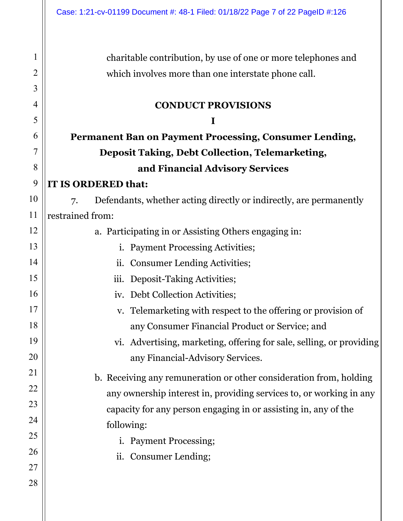1 2 3 4 5 6 7 8 9 10 11 12 13 14 15 16 17 18 19 20 21 22 23 24 25 26 27 28 charitable contribution, by use of one or more telephones and which involves more than one interstate phone call. **CONDUCT PROVISIONS I Permanent Ban on Payment Processing, Consumer Lending, Deposit Taking, Debt Collection, Telemarketing, and Financial Advisory Services IT IS ORDERED that:**  7. Defendants, whether acting directly or indirectly, are permanently restrained from: a. Participating in or Assisting Others engaging in: i. Payment Processing Activities; ii. Consumer Lending Activities; iii. Deposit-Taking Activities; iv. Debt Collection Activities; v. Telemarketing with respect to the offering or provision of any Consumer Financial Product or Service; and vi. Advertising, marketing, offering for sale, selling, or providing any Financial-Advisory Services. b. Receiving any remuneration or other consideration from, holding any ownership interest in, providing services to, or working in any capacity for any person engaging in or assisting in, any of the following: i. Payment Processing; ii. Consumer Lending;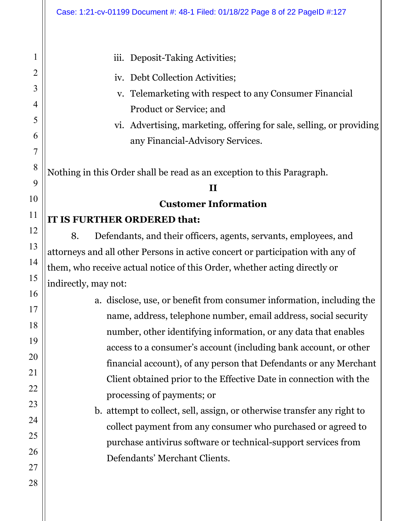## iii. Deposit-Taking Activities;

- iv. Debt Collection Activities;
- v. Telemarketing with respect to any Consumer Financial Product or Service; and
- vi. Advertising, marketing, offering for sale, selling, or providing any Financial-Advisory Services.

Nothing in this Order shall be read as an exception to this Paragraph.

#### **II**

**Customer Information** 

## **IT IS FURTHER ORDERED that:**

8. Defendants, and their officers, agents, servants, employees, and attorneys and all other Persons in active concert or participation with any of them, who receive actual notice of this Order, whether acting directly or indirectly, may not:

> a. disclose, use, or benefit from consumer information, including the name, address, telephone number, email address, social security number, other identifying information, or any data that enables access to a consumer's account (including bank account, or other financial account), of any person that Defendants or any Merchant Client obtained prior to the Effective Date in connection with the processing of payments; or

b. attempt to collect, sell, assign, or otherwise transfer any right to collect payment from any consumer who purchased or agreed to purchase antivirus software or technical-support services from Defendants' Merchant Clients.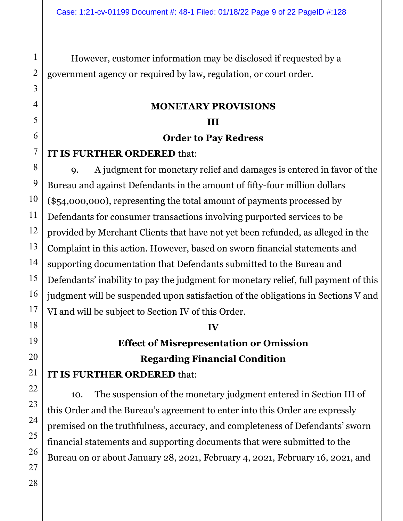However, customer information may be disclosed if requested by a government agency or required by law, regulation, or court order.

## **MONETARY PROVISIONS III**

#### **Order to Pay Redress**

## **IT IS FURTHER ORDERED** that:

9. A judgment for monetary relief and damages is entered in favor of the Bureau and against Defendants in the amount of fifty-four million dollars (\$54,000,000), representing the total amount of payments processed by Defendants for consumer transactions involving purported services to be provided by Merchant Clients that have not yet been refunded, as alleged in the Complaint in this action. However, based on sworn financial statements and supporting documentation that Defendants submitted to the Bureau and Defendants' inability to pay the judgment for monetary relief, full payment of this judgment will be suspended upon satisfaction of the obligations in Sections V and VI and will be subject to Section IV of this Order.

## **IV**

# **Effect of Misrepresentation or Omission Regarding Financial Condition**

## **IT IS FURTHER ORDERED** that:

10. The suspension of the monetary judgment entered in Section III of this Order and the Bureau's agreement to enter into this Order are expressly premised on the truthfulness, accuracy, and completeness of Defendants' sworn financial statements and supporting documents that were submitted to the Bureau on or about January 28, 2021, February 4, 2021, February 16, 2021, and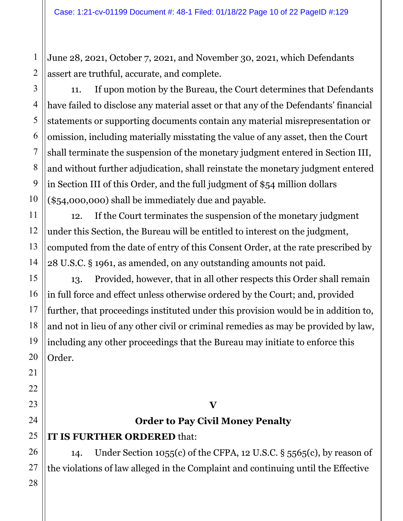June 28, 2021, October 7, 2021, and November 30, 2021, which Defendants assert are truthful, accurate, and complete.

11. If upon motion by the Bureau, the Court determines that Defendants have failed to disclose any material asset or that any of the Defendants' financial statements or supporting documents contain any material misrepresentation or omission, including materially misstating the value of any asset, then the Court shall terminate the suspension of the monetary judgment entered in Section III, and without further adjudication, shall reinstate the monetary judgment entered in Section III of this Order, and the full judgment of \$54 million dollars (\$54,000,000) shall be immediately due and payable.

12. If the Court terminates the suspension of the monetary judgment under this Section, the Bureau will be entitled to interest on the judgment, computed from the date of entry of this Consent Order, at the rate prescribed by 28 U.S.C. § 1961, as amended, on any outstanding amounts not paid.

13. Provided, however, that in all other respects this Order shall remain in full force and effect unless otherwise ordered by the Court; and, provided further, that proceedings instituted under this provision would be in addition to, and not in lieu of any other civil or criminal remedies as may be provided by law, including any other proceedings that the Bureau may initiate to enforce this Order.

# **Order to Pay Civil Money Penalty**

**V** 

# **IT IS FURTHER ORDERED** that:

14. Under Section 1055(c) of the CFPA, 12 U.S.C. § 5565(c), by reason of the violations of law alleged in the Complaint and continuing until the Effective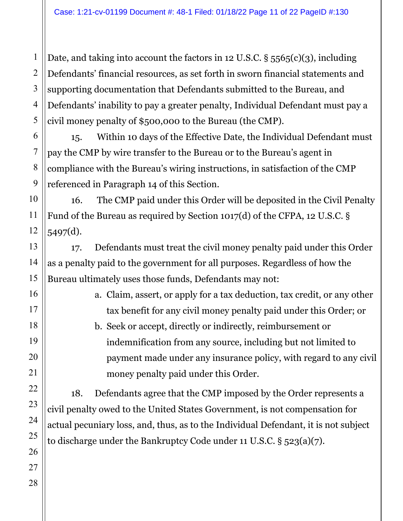Date, and taking into account the factors in 12 U.S.C. § 5565(c)(3), including Defendants' financial resources, as set forth in sworn financial statements and supporting documentation that Defendants submitted to the Bureau, and Defendants' inability to pay a greater penalty, Individual Defendant must pay a civil money penalty of \$500,000 to the Bureau (the CMP).

15. Within 10 days of the Effective Date, the Individual Defendant must pay the CMP by wire transfer to the Bureau or to the Bureau's agent in compliance with the Bureau's wiring instructions, in satisfaction of the CMP referenced in Paragraph 14 of this Section.

16. The CMP paid under this Order will be deposited in the Civil Penalty Fund of the Bureau as required by Section 1017(d) of the CFPA, 12 U.S.C. § 5497(d).

17. Defendants must treat the civil money penalty paid under this Order as a penalty paid to the government for all purposes. Regardless of how the Bureau ultimately uses those funds, Defendants may not:

> a. Claim, assert, or apply for a tax deduction, tax credit, or any other tax benefit for any civil money penalty paid under this Order; or

b. Seek or accept, directly or indirectly, reimbursement or indemnification from any source, including but not limited to payment made under any insurance policy, with regard to any civil money penalty paid under this Order.

18. Defendants agree that the CMP imposed by the Order represents a civil penalty owed to the United States Government, is not compensation for actual pecuniary loss, and, thus, as to the Individual Defendant, it is not subject to discharge under the Bankruptcy Code under 11 U.S.C. § 523(a)(7).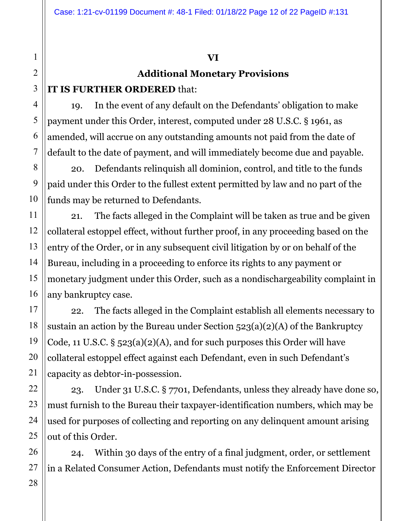## **VI**

# **Additional Monetary Provisions**

## **IT IS FURTHER ORDERED** that:

19. In the event of any default on the Defendants' obligation to make payment under this Order, interest, computed under 28 U.S.C. § 1961, as amended, will accrue on any outstanding amounts not paid from the date of default to the date of payment, and will immediately become due and payable.

20. Defendants relinquish all dominion, control, and title to the funds paid under this Order to the fullest extent permitted by law and no part of the funds may be returned to Defendants.

21. The facts alleged in the Complaint will be taken as true and be given collateral estoppel effect, without further proof, in any proceeding based on the entry of the Order, or in any subsequent civil litigation by or on behalf of the Bureau, including in a proceeding to enforce its rights to any payment or monetary judgment under this Order, such as a nondischargeability complaint in any bankruptcy case.

22. The facts alleged in the Complaint establish all elements necessary to sustain an action by the Bureau under Section  $523(a)(2)(A)$  of the Bankruptcy Code, 11 U.S.C.  $\S$  523(a)(2)(A), and for such purposes this Order will have collateral estoppel effect against each Defendant, even in such Defendant's capacity as debtor-in-possession.

23. Under 31 U.S.C. § 7701, Defendants, unless they already have done so, must furnish to the Bureau their taxpayer-identification numbers, which may be used for purposes of collecting and reporting on any delinquent amount arising out of this Order.

24. Within 30 days of the entry of a final judgment, order, or settlement in a Related Consumer Action, Defendants must notify the Enforcement Director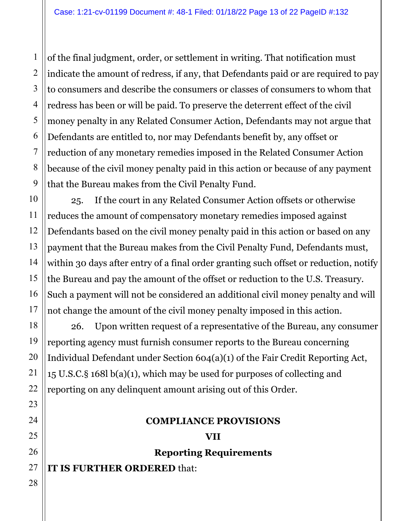of the final judgment, order, or settlement in writing. That notification must indicate the amount of redress, if any, that Defendants paid or are required to pay to consumers and describe the consumers or classes of consumers to whom that redress has been or will be paid. To preserve the deterrent effect of the civil money penalty in any Related Consumer Action, Defendants may not argue that Defendants are entitled to, nor may Defendants benefit by, any offset or reduction of any monetary remedies imposed in the Related Consumer Action because of the civil money penalty paid in this action or because of any payment that the Bureau makes from the Civil Penalty Fund.

25. If the court in any Related Consumer Action offsets or otherwise reduces the amount of compensatory monetary remedies imposed against Defendants based on the civil money penalty paid in this action or based on any payment that the Bureau makes from the Civil Penalty Fund, Defendants must, within 30 days after entry of a final order granting such offset or reduction, notify the Bureau and pay the amount of the offset or reduction to the U.S. Treasury. Such a payment will not be considered an additional civil money penalty and will not change the amount of the civil money penalty imposed in this action.

26. Upon written request of a representative of the Bureau, any consumer reporting agency must furnish consumer reports to the Bureau concerning Individual Defendant under Section 604(a)(1) of the Fair Credit Reporting Act, 15 U.S.C.§ 168l b(a)(1), which may be used for purposes of collecting and reporting on any delinquent amount arising out of this Order.

#### **COMPLIANCE PROVISIONS**

**VII Reporting Requirements** 

**IT IS FURTHER ORDERED** that: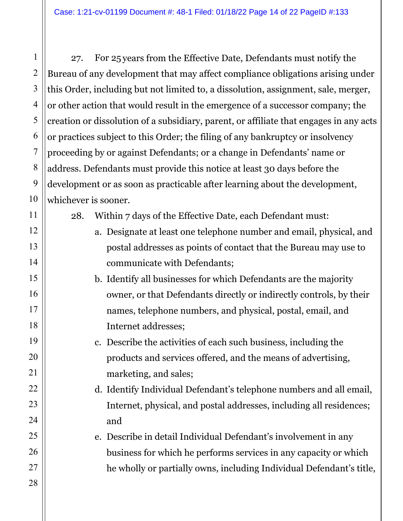27. For 25 years from the Effective Date, Defendants must notify the Bureau of any development that may affect compliance obligations arising under this Order, including but not limited to, a dissolution, assignment, sale, merger, or other action that would result in the emergence of a successor company; the creation or dissolution of a subsidiary, parent, or affiliate that engages in any acts or practices subject to this Order; the filing of any bankruptcy or insolvency proceeding by or against Defendants; or a change in Defendants' name or address. Defendants must provide this notice at least 30 days before the development or as soon as practicable after learning about the development, whichever is sooner.

28. Within 7 days of the Effective Date, each Defendant must:

- a. Designate at least one telephone number and email, physical, and postal addresses as points of contact that the Bureau may use to communicate with Defendants;
- b. Identify all businesses for which Defendants are the majority owner, or that Defendants directly or indirectly controls, by their names, telephone numbers, and physical, postal, email, and Internet addresses;
	- c. Describe the activities of each such business, including the products and services offered, and the means of advertising, marketing, and sales;
- d. Identify Individual Defendant's telephone numbers and all email, Internet, physical, and postal addresses, including all residences; and
- e. Describe in detail Individual Defendant's involvement in any business for which he performs services in any capacity or which he wholly or partially owns, including Individual Defendant's title,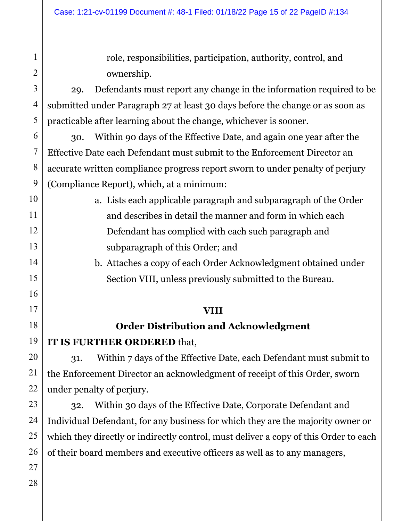role, responsibilities, participation, authority, control, and ownership.

29. Defendants must report any change in the information required to be submitted under Paragraph 27 at least 30 days before the change or as soon as practicable after learning about the change, whichever is sooner.

30. Within 90 days of the Effective Date, and again one year after the Effective Date each Defendant must submit to the Enforcement Director an accurate written compliance progress report sworn to under penalty of perjury (Compliance Report), which, at a minimum:

> a. Lists each applicable paragraph and subparagraph of the Order and describes in detail the manner and form in which each Defendant has complied with each such paragraph and subparagraph of this Order; and

b. Attaches a copy of each Order Acknowledgment obtained under Section VIII, unless previously submitted to the Bureau.

## **VIII**

# **Order Distribution and Acknowledgment**

**IT IS FURTHER ORDERED** that,

31. Within 7 days of the Effective Date, each Defendant must submit to the Enforcement Director an acknowledgment of receipt of this Order, sworn under penalty of perjury.

32. Within 30 days of the Effective Date, Corporate Defendant and Individual Defendant, for any business for which they are the majority owner or which they directly or indirectly control, must deliver a copy of this Order to each of their board members and executive officers as well as to any managers,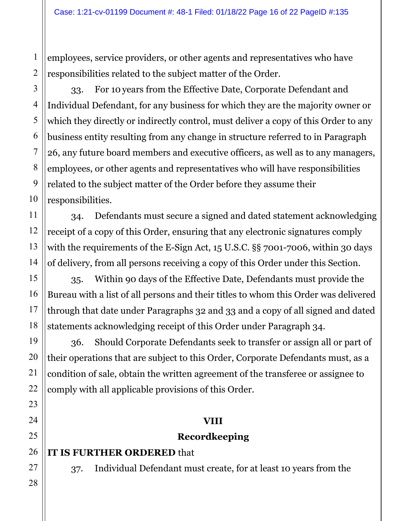employees, service providers, or other agents and representatives who have responsibilities related to the subject matter of the Order.

33. For 10 years from the Effective Date, Corporate Defendant and Individual Defendant, for any business for which they are the majority owner or which they directly or indirectly control, must deliver a copy of this Order to any business entity resulting from any change in structure referred to in Paragraph 26, any future board members and executive officers, as well as to any managers, employees, or other agents and representatives who will have responsibilities related to the subject matter of the Order before they assume their responsibilities.

34. Defendants must secure a signed and dated statement acknowledging receipt of a copy of this Order, ensuring that any electronic signatures comply with the requirements of the E-Sign Act, 15 U.S.C. §§ 7001-7006, within 30 days of delivery, from all persons receiving a copy of this Order under this Section.

35. Within 90 days of the Effective Date, Defendants must provide the Bureau with a list of all persons and their titles to whom this Order was delivered through that date under Paragraphs 32 and 33 and a copy of all signed and dated statements acknowledging receipt of this Order under Paragraph 34.

36. Should Corporate Defendants seek to transfer or assign all or part of their operations that are subject to this Order, Corporate Defendants must, as a condition of sale, obtain the written agreement of the transferee or assignee to comply with all applicable provisions of this Order.

## **VIII**

## **Recordkeeping**

## **IT IS FURTHER ORDERED** that

37. Individual Defendant must create, for at least 10 years from the

1

2

3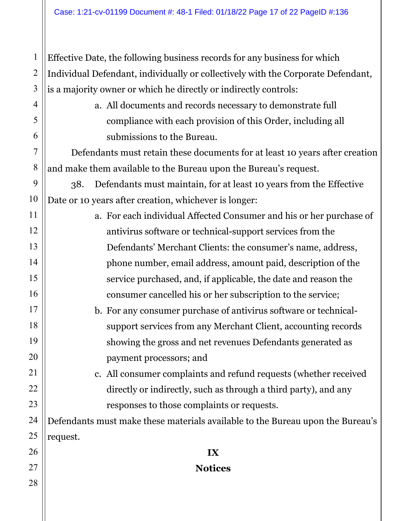Effective Date, the following business records for any business for which Individual Defendant, individually or collectively with the Corporate Defendant, is a majority owner or which he directly or indirectly controls:

> a. All documents and records necessary to demonstrate full compliance with each provision of this Order, including all submissions to the Bureau.

Defendants must retain these documents for at least 10 years after creation and make them available to the Bureau upon the Bureau's request.

38. Defendants must maintain, for at least 10 years from the Effective Date or 10 years after creation, whichever is longer:

- a. For each individual Affected Consumer and his or her purchase of antivirus software or technical-support services from the Defendants' Merchant Clients: the consumer's name, address, phone number, email address, amount paid, description of the service purchased, and, if applicable, the date and reason the consumer cancelled his or her subscription to the service;
	- b. For any consumer purchase of antivirus software or technicalsupport services from any Merchant Client, accounting records showing the gross and net revenues Defendants generated as payment processors; and
		- c. All consumer complaints and refund requests (whether received directly or indirectly, such as through a third party), and any responses to those complaints or requests.

Defendants must make these materials available to the Bureau upon the Bureau's request.

**IX**

**Notices** 

1

2

3

4

5

6

7

8

9

10

11

12

13

14

15

16

17

18

19

20

21

22

23

24

25

26

27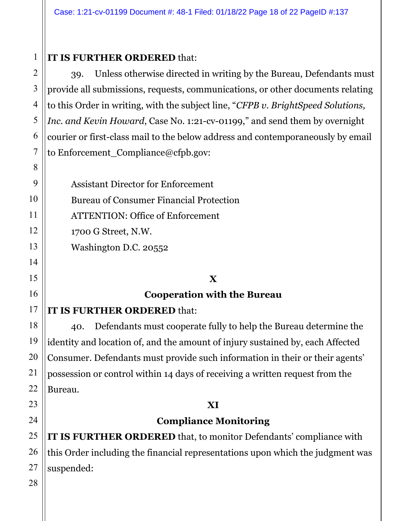## **IT IS FURTHER ORDERED** that:

39. Unless otherwise directed in writing by the Bureau, Defendants must provide all submissions, requests, communications, or other documents relating to this Order in writing, with the subject line, "*CFPB v. BrightSpeed Solutions, Inc. and Kevin Howard*, Case No. 1:21-cv-01199," and send them by overnight courier or first-class mail to the below address and contemporaneously by email to Enforcement Compliance@cfpb.gov:

| <b>Assistant Director for Enforcement</b>      |
|------------------------------------------------|
| <b>Bureau of Consumer Financial Protection</b> |
| <b>ATTENTION: Office of Enforcement</b>        |
| 1700 G Street, N.W.                            |
| Washington D.C. 20552                          |

# **X**

## **Cooperation with the Bureau**

## **IT IS FURTHER ORDERED** that:

40. Defendants must cooperate fully to help the Bureau determine the identity and location of, and the amount of injury sustained by, each Affected Consumer. Defendants must provide such information in their or their agents' possession or control within 14 days of receiving a written request from the Bureau.

## **XI**

## **Compliance Monitoring**

**IT IS FURTHER ORDERED** that, to monitor Defendants' compliance with this Order including the financial representations upon which the judgment was suspended: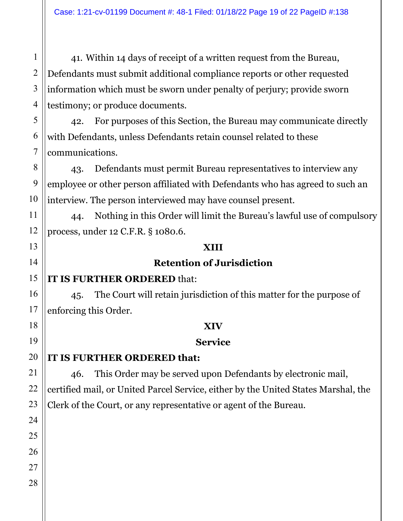41. Within 14 days of receipt of a written request from the Bureau, Defendants must submit additional compliance reports or other requested information which must be sworn under penalty of perjury; provide sworn testimony; or produce documents.

42. For purposes of this Section, the Bureau may communicate directly with Defendants, unless Defendants retain counsel related to these communications.

43. Defendants must permit Bureau representatives to interview any employee or other person affiliated with Defendants who has agreed to such an interview. The person interviewed may have counsel present.

44. Nothing in this Order will limit the Bureau's lawful use of compulsory process, under 12 C.F.R. § 1080.6.

#### **XIII**

## **Retention of Jurisdiction**

## **IT IS FURTHER ORDERED** that:

45. The Court will retain jurisdiction of this matter for the purpose of enforcing this Order.

#### **XIV**

#### **Service**

## **IT IS FURTHER ORDERED that:**

46. This Order may be served upon Defendants by electronic mail, certified mail, or United Parcel Service, either by the United States Marshal, the Clerk of the Court, or any representative or agent of the Bureau.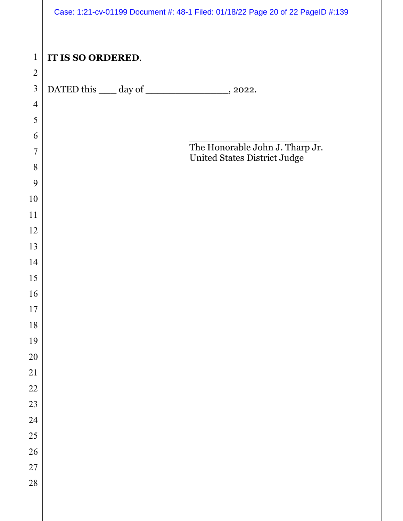|                |                   | Case: 1:21-cv-01199 Document #: 48-1 Filed: 01/18/22 Page 20 of 22 PageID #:139 |
|----------------|-------------------|---------------------------------------------------------------------------------|
| $\mathbf{1}$   | IT IS SO ORDERED. |                                                                                 |
| $\sqrt{2}$     |                   |                                                                                 |
| $\overline{3}$ |                   | DATED this _____ day of ___________________, 2022.                              |
| $\overline{4}$ |                   |                                                                                 |
| 5              |                   |                                                                                 |
| 6              |                   |                                                                                 |
| $\overline{7}$ |                   | The Honorable John J. Tharp Jr.                                                 |
| 8              |                   | United States District Judge                                                    |
| 9              |                   |                                                                                 |
| 10             |                   |                                                                                 |
| 11             |                   |                                                                                 |
| 12             |                   |                                                                                 |
| 13             |                   |                                                                                 |
| 14             |                   |                                                                                 |
| 15             |                   |                                                                                 |
| 16             |                   |                                                                                 |
| 17             |                   |                                                                                 |
| 18             |                   |                                                                                 |
| 19             |                   |                                                                                 |
| 20             |                   |                                                                                 |
| 21             |                   |                                                                                 |
| 22             |                   |                                                                                 |
| 23             |                   |                                                                                 |
| 24             |                   |                                                                                 |
| 25             |                   |                                                                                 |
| 26             |                   |                                                                                 |
| 27             |                   |                                                                                 |
| 28             |                   |                                                                                 |
|                |                   |                                                                                 |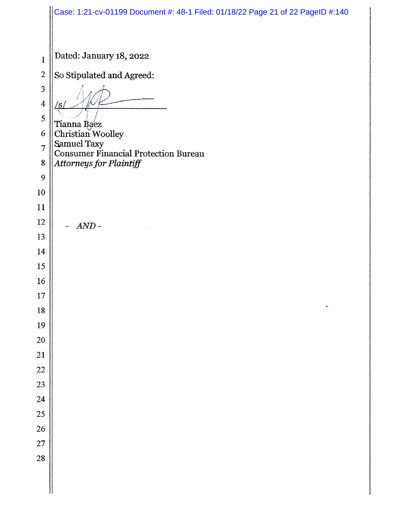|                         | Case: 1:21-cv-01199 Document #: 48-1 Filed: 01/18/22 Page 21 of 22 PageID #:140 |  |  |  |  |  |  |  |
|-------------------------|---------------------------------------------------------------------------------|--|--|--|--|--|--|--|
|                         |                                                                                 |  |  |  |  |  |  |  |
| $\mathbf{1}$            | Dated: January 18, 2022                                                         |  |  |  |  |  |  |  |
| $\overline{2}$          | So Stipulated and Agreed:                                                       |  |  |  |  |  |  |  |
| 3                       |                                                                                 |  |  |  |  |  |  |  |
| $\overline{\mathbf{4}}$ | /s                                                                              |  |  |  |  |  |  |  |
| 5                       |                                                                                 |  |  |  |  |  |  |  |
| 6                       | Tianna Ba⁄ez<br>Christian Woolley                                               |  |  |  |  |  |  |  |
| $\overline{7}$          | Samuel Taxy                                                                     |  |  |  |  |  |  |  |
| 8                       | <b>Consumer Financial Protection Bureau</b><br>Attorneys for Plaintiff          |  |  |  |  |  |  |  |
| 9                       |                                                                                 |  |  |  |  |  |  |  |
| 10                      |                                                                                 |  |  |  |  |  |  |  |
| 11                      |                                                                                 |  |  |  |  |  |  |  |
| 12                      | $AND -$                                                                         |  |  |  |  |  |  |  |
| 13                      |                                                                                 |  |  |  |  |  |  |  |
| 14                      |                                                                                 |  |  |  |  |  |  |  |
| 15                      |                                                                                 |  |  |  |  |  |  |  |
| 16                      |                                                                                 |  |  |  |  |  |  |  |
| 17                      |                                                                                 |  |  |  |  |  |  |  |
| 18                      |                                                                                 |  |  |  |  |  |  |  |
| 19<br>20                |                                                                                 |  |  |  |  |  |  |  |
| 21                      |                                                                                 |  |  |  |  |  |  |  |
| 22                      |                                                                                 |  |  |  |  |  |  |  |
| 23                      |                                                                                 |  |  |  |  |  |  |  |
| 24                      |                                                                                 |  |  |  |  |  |  |  |
| 25                      |                                                                                 |  |  |  |  |  |  |  |
| 26                      |                                                                                 |  |  |  |  |  |  |  |
| 27                      |                                                                                 |  |  |  |  |  |  |  |
| 28                      |                                                                                 |  |  |  |  |  |  |  |
|                         |                                                                                 |  |  |  |  |  |  |  |
|                         |                                                                                 |  |  |  |  |  |  |  |